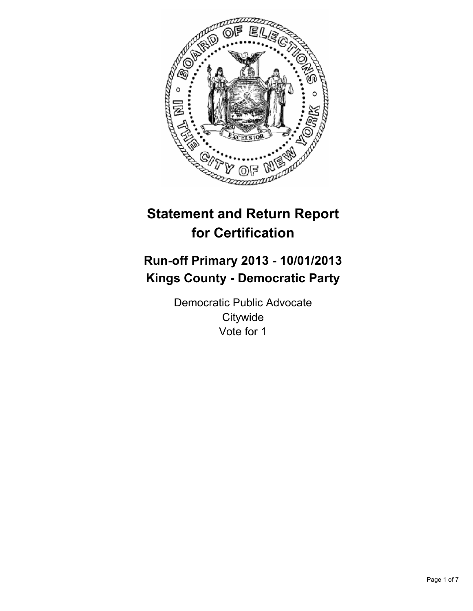

# **Statement and Return Report for Certification**

# **Run-off Primary 2013 - 10/01/2013 Kings County - Democratic Party**

Democratic Public Advocate **Citywide** Vote for 1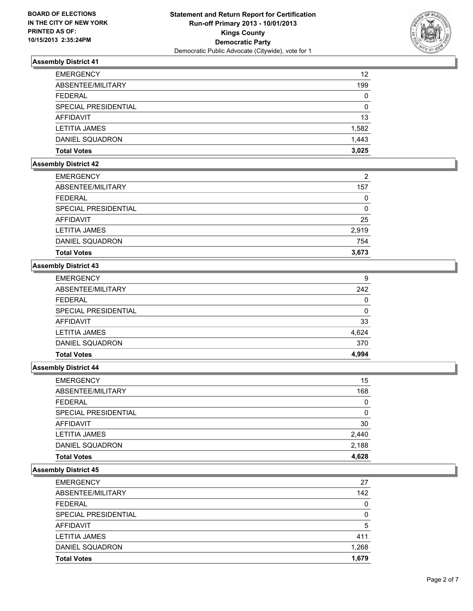

| <b>EMERGENCY</b>     | 12       |
|----------------------|----------|
| ABSENTEE/MILITARY    | 199      |
| <b>FEDERAL</b>       | 0        |
| SPECIAL PRESIDENTIAL | $\Omega$ |
| AFFIDAVIT            | 13       |
| <b>LETITIA JAMES</b> | 1,582    |
| DANIEL SQUADRON      | 1.443    |
| <b>Total Votes</b>   | 3.025    |

# **Assembly District 42**

| <b>Total Votes</b>   | 3,673          |
|----------------------|----------------|
| DANIEL SQUADRON      | 754            |
| <b>LETITIA JAMES</b> | 2,919          |
| AFFIDAVIT            | 25             |
| SPECIAL PRESIDENTIAL | 0              |
| <b>FEDERAL</b>       | 0              |
| ABSENTEE/MILITARY    | 157            |
| <b>EMERGENCY</b>     | $\overline{2}$ |

# **Assembly District 43**

| <b>Total Votes</b>   | 4,994 |
|----------------------|-------|
| DANIEL SQUADRON      | 370   |
| <b>LETITIA JAMES</b> | 4.624 |
| AFFIDAVIT            | 33    |
| SPECIAL PRESIDENTIAL | 0     |
| <b>FEDERAL</b>       | 0     |
| ABSENTEE/MILITARY    | 242   |
| <b>EMERGENCY</b>     | 9     |

### **Assembly District 44**

| <b>Total Votes</b>          | 4,628 |
|-----------------------------|-------|
| DANIEL SQUADRON             | 2,188 |
| <b>LETITIA JAMES</b>        | 2,440 |
| AFFIDAVIT                   | 30    |
| <b>SPECIAL PRESIDENTIAL</b> | 0     |
| <b>FEDERAL</b>              | 0     |
| ABSENTEE/MILITARY           | 168   |
| <b>EMERGENCY</b>            | 15    |

| <b>EMERGENCY</b>       | 27       |
|------------------------|----------|
| ABSENTEE/MILITARY      | 142      |
| <b>FEDERAL</b>         | $\Omega$ |
| SPECIAL PRESIDENTIAL   | 0        |
| AFFIDAVIT              | 5        |
| <b>LETITIA JAMES</b>   | 411      |
| <b>DANIEL SQUADRON</b> | 1,268    |
| <b>Total Votes</b>     | 1,679    |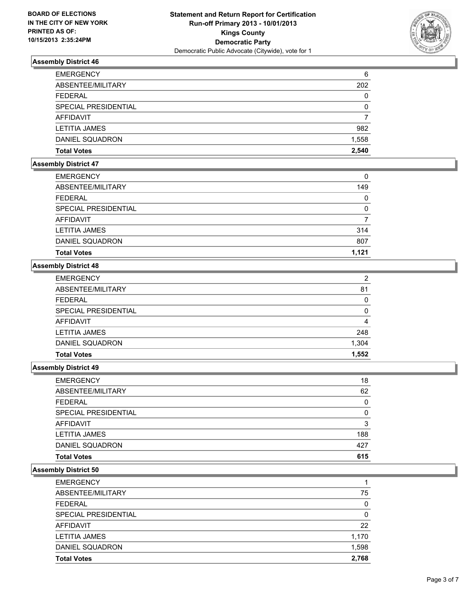

| <b>EMERGENCY</b>     | 6     |
|----------------------|-------|
| ABSENTEE/MILITARY    | 202   |
| <b>FEDERAL</b>       | 0     |
| SPECIAL PRESIDENTIAL | 0     |
| <b>AFFIDAVIT</b>     |       |
| <b>LETITIA JAMES</b> | 982   |
| DANIEL SQUADRON      | 1,558 |
| <b>Total Votes</b>   | 2.540 |

# **Assembly District 47**

| <b>EMERGENCY</b>     | 0     |
|----------------------|-------|
| ABSENTEE/MILITARY    | 149   |
| <b>FEDERAL</b>       | 0     |
| SPECIAL PRESIDENTIAL | 0     |
| AFFIDAVIT            |       |
| LETITIA JAMES        | 314   |
| DANIEL SQUADRON      | 807   |
| <b>Total Votes</b>   | 1.121 |

# **Assembly District 48**

| <b>Total Votes</b>   | 1,552    |
|----------------------|----------|
| DANIEL SQUADRON      | 1,304    |
| <b>LETITIA JAMES</b> | 248      |
| AFFIDAVIT            | 4        |
| SPECIAL PRESIDENTIAL | $\Omega$ |
| <b>FEDERAL</b>       | 0        |
| ABSENTEE/MILITARY    | 81       |
| <b>EMERGENCY</b>     | 2        |

### **Assembly District 49**

| <b>EMERGENCY</b>       | 18  |
|------------------------|-----|
| ABSENTEE/MILITARY      | 62  |
| <b>FEDERAL</b>         | 0   |
| SPECIAL PRESIDENTIAL   | 0   |
| <b>AFFIDAVIT</b>       | 3   |
| <b>LETITIA JAMES</b>   | 188 |
| <b>DANIEL SQUADRON</b> | 427 |
| <b>Total Votes</b>     | 615 |

| <b>EMERGENCY</b>     |       |
|----------------------|-------|
| ABSENTEE/MILITARY    | 75    |
| <b>FEDERAL</b>       | 0     |
| SPECIAL PRESIDENTIAL | 0     |
| AFFIDAVIT            | 22    |
| <b>LETITIA JAMES</b> | 1,170 |
| DANIEL SQUADRON      | 1,598 |
| <b>Total Votes</b>   | 2.768 |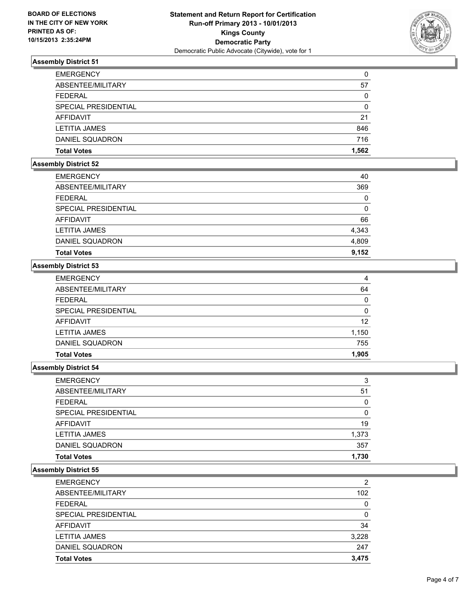

| <b>EMERGENCY</b>     | 0     |
|----------------------|-------|
| ABSENTEE/MILITARY    | 57    |
| <b>FEDERAL</b>       | 0     |
| SPECIAL PRESIDENTIAL | 0     |
| AFFIDAVIT            | 21    |
| <b>LETITIA JAMES</b> | 846   |
| DANIEL SQUADRON      | 716   |
| <b>Total Votes</b>   | 1.562 |

# **Assembly District 52**

| <b>EMERGENCY</b>     | 40    |
|----------------------|-------|
| ABSENTEE/MILITARY    | 369   |
| <b>FEDERAL</b>       | 0     |
| SPECIAL PRESIDENTIAL | 0     |
| AFFIDAVIT            | 66    |
| <b>LETITIA JAMES</b> | 4,343 |
| DANIEL SQUADRON      | 4,809 |
| <b>Total Votes</b>   | 9,152 |

# **Assembly District 53**

| <b>EMERGENCY</b>     | 4            |
|----------------------|--------------|
| ABSENTEE/MILITARY    | 64           |
| <b>FEDERAL</b>       | $\mathbf{0}$ |
| SPECIAL PRESIDENTIAL | $\Omega$     |
| <b>AFFIDAVIT</b>     | 12           |
| <b>LETITIA JAMES</b> | 1,150        |
| DANIEL SQUADRON      | 755          |
| <b>Total Votes</b>   | 1,905        |

### **Assembly District 54**

| 3     |
|-------|
| 51    |
| 0     |
| 0     |
| 19    |
| 1,373 |
| 357   |
| 1.730 |
|       |

| <b>EMERGENCY</b>     | 2        |
|----------------------|----------|
| ABSENTEE/MILITARY    | 102      |
| <b>FEDERAL</b>       | $\Omega$ |
| SPECIAL PRESIDENTIAL | 0        |
| AFFIDAVIT            | 34       |
| <b>LETITIA JAMES</b> | 3,228    |
| DANIEL SQUADRON      | 247      |
| <b>Total Votes</b>   | 3.475    |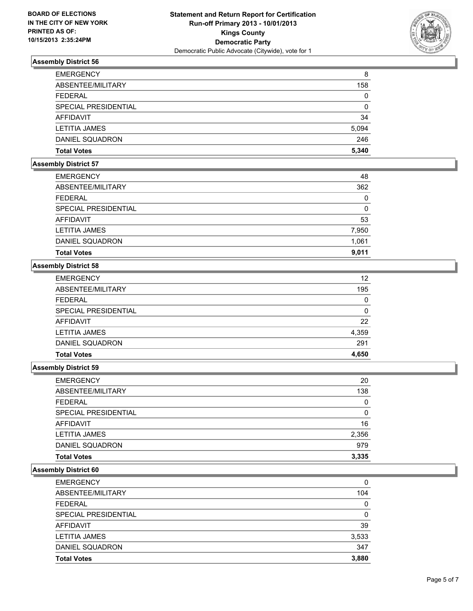

| <b>EMERGENCY</b>     | 8     |
|----------------------|-------|
| ABSENTEE/MILITARY    | 158   |
| <b>FEDERAL</b>       | 0     |
| SPECIAL PRESIDENTIAL | 0     |
| AFFIDAVIT            | 34    |
| <b>LETITIA JAMES</b> | 5,094 |
| DANIEL SQUADRON      | 246   |
| <b>Total Votes</b>   | 5,340 |

# **Assembly District 57**

| <b>EMERGENCY</b>     | 48    |
|----------------------|-------|
| ABSENTEE/MILITARY    | 362   |
| <b>FEDERAL</b>       | 0     |
| SPECIAL PRESIDENTIAL | 0     |
| AFFIDAVIT            | 53    |
| <b>LETITIA JAMES</b> | 7,950 |
| DANIEL SQUADRON      | 1,061 |
| <b>Total Votes</b>   | 9,011 |

# **Assembly District 58**

| <b>EMERGENCY</b>            | 12    |
|-----------------------------|-------|
| ABSENTEE/MILITARY           | 195   |
| <b>FEDERAL</b>              | 0     |
| <b>SPECIAL PRESIDENTIAL</b> | 0     |
| <b>AFFIDAVIT</b>            | 22    |
| <b>LETITIA JAMES</b>        | 4,359 |
| DANIEL SQUADRON             | 291   |
| <b>Total Votes</b>          | 4,650 |

### **Assembly District 59**

| <b>Total Votes</b>          | 3,335 |
|-----------------------------|-------|
| DANIEL SQUADRON             | 979   |
| <b>LETITIA JAMES</b>        | 2,356 |
| AFFIDAVIT                   | 16    |
| <b>SPECIAL PRESIDENTIAL</b> | 0     |
| <b>FEDERAL</b>              | 0     |
| ABSENTEE/MILITARY           | 138   |
| <b>EMERGENCY</b>            | 20    |

| <b>EMERGENCY</b>     | 0     |
|----------------------|-------|
| ABSENTEE/MILITARY    | 104   |
| <b>FEDERAL</b>       | 0     |
| SPECIAL PRESIDENTIAL | 0     |
| AFFIDAVIT            | 39    |
| <b>LETITIA JAMES</b> | 3,533 |
| DANIEL SQUADRON      | 347   |
| <b>Total Votes</b>   | 3.880 |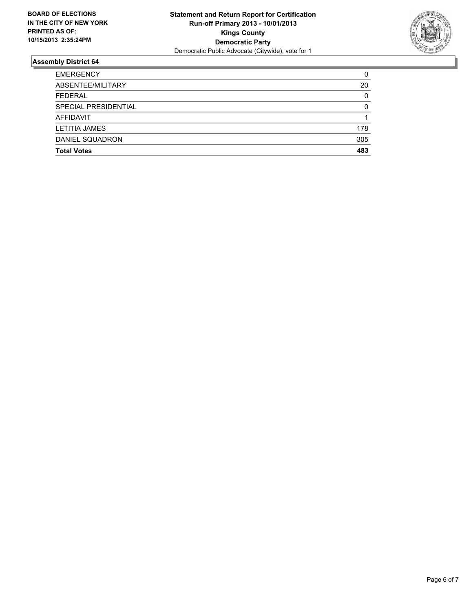

| <b>Total Votes</b>   | 483      |
|----------------------|----------|
| DANIEL SQUADRON      | 305      |
| <b>LETITIA JAMES</b> | 178      |
| <b>AFFIDAVIT</b>     |          |
| SPECIAL PRESIDENTIAL | $\Omega$ |
| <b>FEDERAL</b>       | 0        |
| ABSENTEE/MILITARY    | 20       |
| <b>EMERGENCY</b>     | 0        |